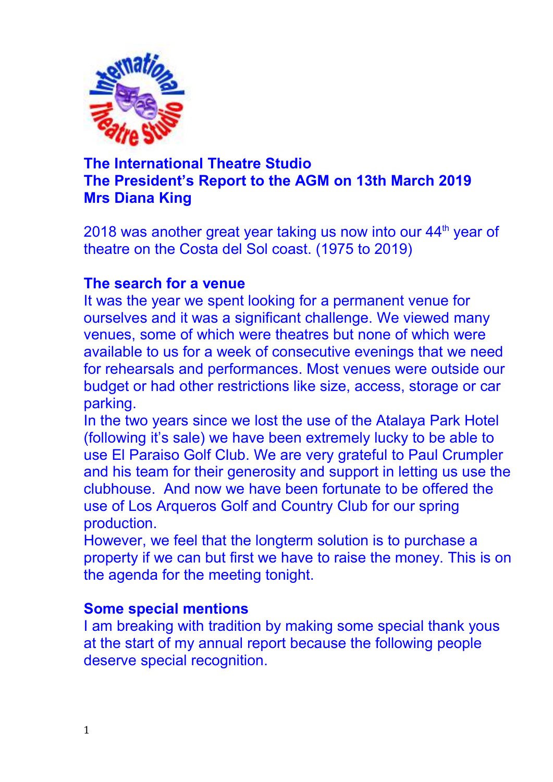

# **The International Theatre Studio The President's Report to the AGM on 13th March 2019 Mrs Diana King**

2018 was another great year taking us now into our 44<sup>th</sup> year of theatre on the Costa del Sol coast. (1975 to 2019)

### **The search for a venue**

It was the year we spent looking for a permanent venue for ourselves and it was a significant challenge. We viewed many venues, some of which were theatres but none of which were available to us for a week of consecutive evenings that we need for rehearsals and performances. Most venues were outside our budget or had other restrictions like size, access, storage or car parking.

In the two years since we lost the use of the Atalaya Park Hotel (following it's sale) we have been extremely lucky to be able to use El Paraiso Golf Club. We are very grateful to Paul Crumpler and his team for their generosity and support in letting us use the clubhouse. And now we have been fortunate to be offered the use of Los Arqueros Golf and Country Club for our spring production.

However, we feel that the longterm solution is to purchase a property if we can but first we have to raise the money. This is on the agenda for the meeting tonight.

#### **Some special mentions**

I am breaking with tradition by making some special thank yous at the start of my annual report because the following people deserve special recognition.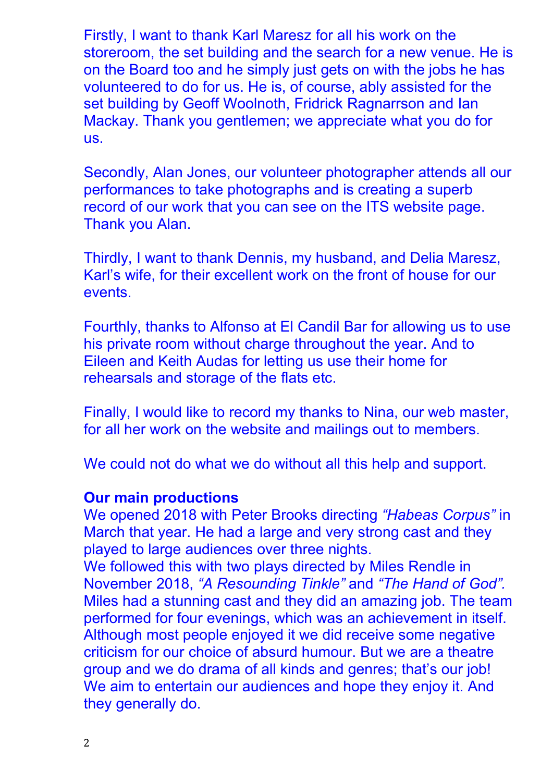Firstly, I want to thank Karl Maresz for all his work on the storeroom, the set building and the search for a new venue. He is on the Board too and he simply just gets on with the jobs he has volunteered to do for us. He is, of course, ably assisted for the set building by Geoff Woolnoth, Fridrick Ragnarrson and Ian Mackay. Thank you gentlemen; we appreciate what you do for us.

Secondly, Alan Jones, our volunteer photographer attends all our performances to take photographs and is creating a superb record of our work that you can see on the ITS website page. Thank you Alan.

Thirdly, I want to thank Dennis, my husband, and Delia Maresz, Karl's wife, for their excellent work on the front of house for our events.

Fourthly, thanks to Alfonso at El Candil Bar for allowing us to use his private room without charge throughout the year. And to Eileen and Keith Audas for letting us use their home for rehearsals and storage of the flats etc.

Finally, I would like to record my thanks to Nina, our web master, for all her work on the website and mailings out to members.

We could not do what we do without all this help and support.

#### **Our main productions**

We opened 2018 with Peter Brooks directing *"Habeas Corpus"* in March that year. He had a large and very strong cast and they played to large audiences over three nights.

We followed this with two plays directed by Miles Rendle in November 2018, *"A Resounding Tinkle"* and *"The Hand of God".* Miles had a stunning cast and they did an amazing job. The team performed for four evenings, which was an achievement in itself. Although most people enjoyed it we did receive some negative criticism for our choice of absurd humour. But we are a theatre group and we do drama of all kinds and genres; that's our job! We aim to entertain our audiences and hope they enjoy it. And they generally do.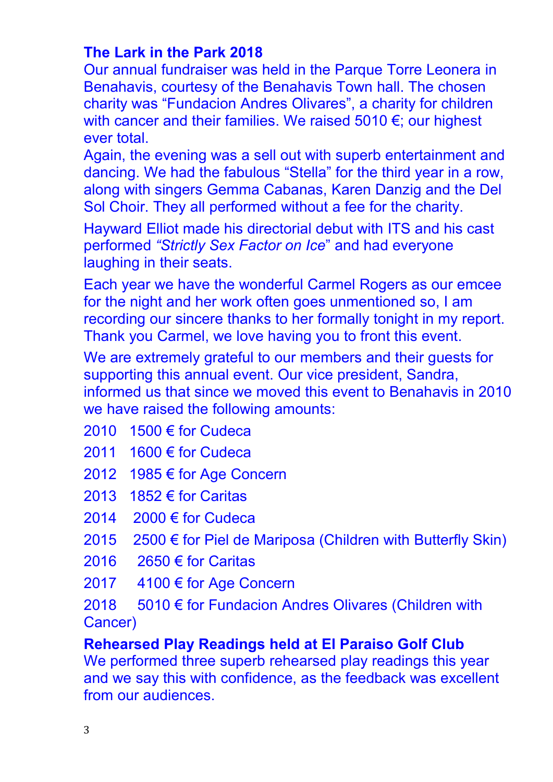# **The Lark in the Park 2018**

Our annual fundraiser was held in the Parque Torre Leonera in Benahavis, courtesy of the Benahavis Town hall. The chosen charity was "Fundacion Andres Olivares", a charity for children with cancer and their families. We raised 5010 €; our highest ever total.

Again, the evening was a sell out with superb entertainment and dancing. We had the fabulous "Stella" for the third year in a row, along with singers Gemma Cabanas, Karen Danzig and the Del Sol Choir. They all performed without a fee for the charity.

Hayward Elliot made his directorial debut with ITS and his cast performed *"Strictly Sex Factor on Ice*" and had everyone laughing in their seats.

Each year we have the wonderful Carmel Rogers as our emcee for the night and her work often goes unmentioned so, I am recording our sincere thanks to her formally tonight in my report. Thank you Carmel, we love having you to front this event.

We are extremely grateful to our members and their guests for supporting this annual event. Our vice president, Sandra, informed us that since we moved this event to Benahavis in 2010 we have raised the following amounts:

- 2010 1500 € for Cudeca
- 2011 1600 € for Cudeca
- 2012 1985 € for Age Concern
- 2013 1852 € for Caritas
- 2014 2000 € for Cudeca
- 2015 2500 € for Piel de Mariposa (Children with Butterfly Skin)
- 2016 2650 € for Caritas
- 2017 4100 € for Age Concern

2018 5010 € for Fundacion Andres Olivares (Children with Cancer)

**Rehearsed Play Readings held at El Paraiso Golf Club** 

We performed three superb rehearsed play readings this year and we say this with confidence, as the feedback was excellent from our audiences.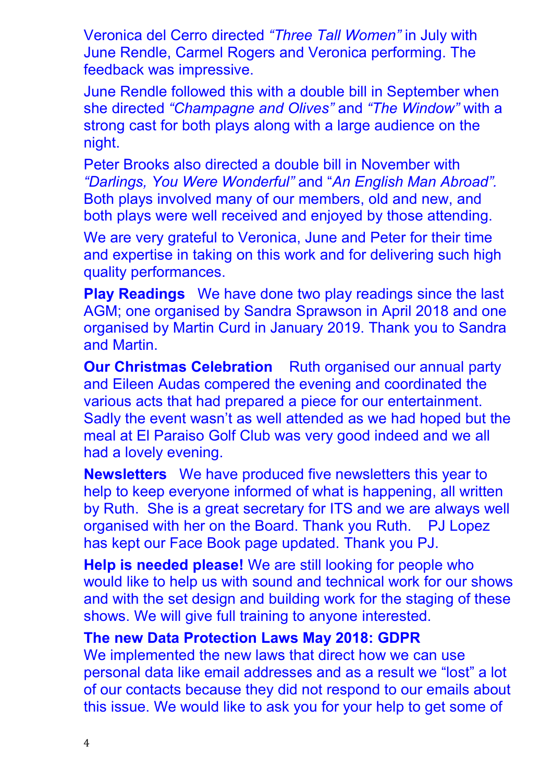Veronica del Cerro directed *"Three Tall Women"* in July with June Rendle, Carmel Rogers and Veronica performing. The feedback was impressive.

June Rendle followed this with a double bill in September when she directed *"Champagne and Olives"* and *"The Window"* with a strong cast for both plays along with a large audience on the night.

Peter Brooks also directed a double bill in November with *"Darlings, You Were Wonderful"* and "*An English Man Abroad".* Both plays involved many of our members, old and new, and both plays were well received and enjoyed by those attending.

We are very grateful to Veronica, June and Peter for their time and expertise in taking on this work and for delivering such high quality performances.

**Play Readings** We have done two play readings since the last AGM; one organised by Sandra Sprawson in April 2018 and one organised by Martin Curd in January 2019. Thank you to Sandra and Martin.

**Our Christmas Celebration** Ruth organised our annual party and Eileen Audas compered the evening and coordinated the various acts that had prepared a piece for our entertainment. Sadly the event wasn't as well attended as we had hoped but the meal at El Paraiso Golf Club was very good indeed and we all had a lovely evening.

**Newsletters** We have produced five newsletters this year to help to keep everyone informed of what is happening, all written by Ruth. She is a great secretary for ITS and we are always well organised with her on the Board. Thank you Ruth. PJ Lopez has kept our Face Book page updated. Thank you PJ.

**Help is needed please!** We are still looking for people who would like to help us with sound and technical work for our shows and with the set design and building work for the staging of these shows. We will give full training to anyone interested.

#### **The new Data Protection Laws May 2018: GDPR**

We implemented the new laws that direct how we can use personal data like email addresses and as a result we "lost" a lot of our contacts because they did not respond to our emails about this issue. We would like to ask you for your help to get some of